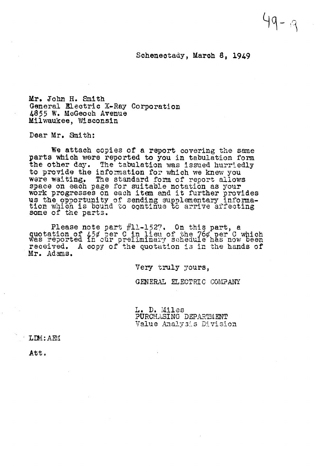## Schenectady, March 8, 1949

Mr. John H. Smith General Electric X-Ray Corporation 4855 W. McGeoch Avenue Milwaukee, Wisconsin

Dear Mr. Smith:

We attach copies of a report covering the same parts which were reported to you in tabulation form the other day. The tabulation was issued hurriedly to provide the information for which we knew you were waiting. The standard form of report allows<br>space on each page for suitable notation as your<br>work progresses on each item and it further provides<br>us the opportunity of sending supplementary informa-<br>tion which is boun

Please note part #11-1527. On this part, a quotation of  $\frac{1}{2}$  ber C in lieu of the 76 $\sigma$  per C which was reported in our preliminary schedule has now been received. A copy of the quotation is in the hands of Mr. Adams.

Very truly yours,

GENERAL ELECTRIC COMPANY

L. D. Miles<br>PURCHASING DEPARTMENT Value Analysis Division

LDM: AEM

Att.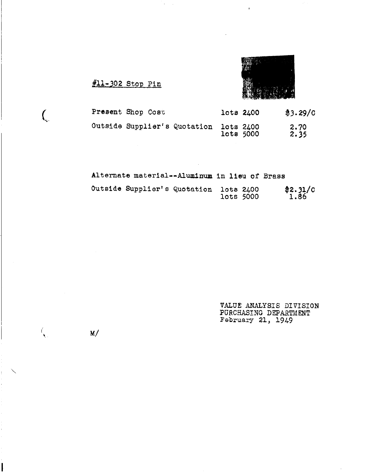#11-302 Stop Pin



| Present Shop Cost            | lots 2400              | \$3.29/C     |
|------------------------------|------------------------|--------------|
| Outside Supplier's Quotation | lots 2400<br>lots 5000 | 2.70<br>2.35 |

| Alternate material--Aluminum in lieu of Brass |           |                   |
|-----------------------------------------------|-----------|-------------------|
| Outside Supplier's Quotation lots 2400        | lots 5000 | $*2.31/c$<br>1.86 |

i.

VALUE ANALYSIS DIVISION PURCHASING DEPARTMENT<br>February 21, 1949

 $\mathcal{L}_{\mathcal{A}}$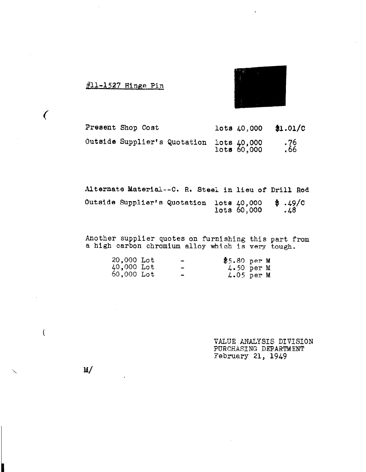



| Present Shop Cost                                       |  | lots 40,000 | \$1.01/c   |
|---------------------------------------------------------|--|-------------|------------|
| Outside Supplier's Quotation lots 40,000<br>lots 60,000 |  |             | 76.<br>66. |

Alternate Material -- C. R. Steel in lieu of Drill Rod Outside Supplier's Quotation lots 40,000 \$.49/C<br>1ots 60,000 .48

Another supplier quotes on furnishing this part from<br>a high carbon chromium alloy which is very tough.

 $\sim$   $\sim$ 

| 20,000 Lot | -                        | $$5.80$ per M |  |
|------------|--------------------------|---------------|--|
| 40,000 Lot | -                        | $4.50$ per M  |  |
| 60,000 Lot | $\overline{\phantom{0}}$ | $4.05$ per M  |  |

VALUE ANALYSIS DIVISION PURCHASING DEPARTMENT February 21, 1949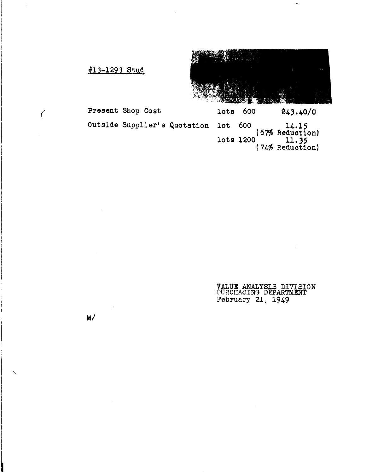

\$43.40/C

 $(74\% \text{ Reduction})$ <br> $(74\% \text{ Reduction})$ 

lots

lots 1200

#13-1293 Stud

Present Shop Cost

Outside Supplier's Quotation 600  $14.15$ <br>(67% Reduction)  $10<sub>t</sub>$ 

> VALUE ANALYSIS DIVISION<br>PURCHASING DEPARTMENT February 21,  $1949$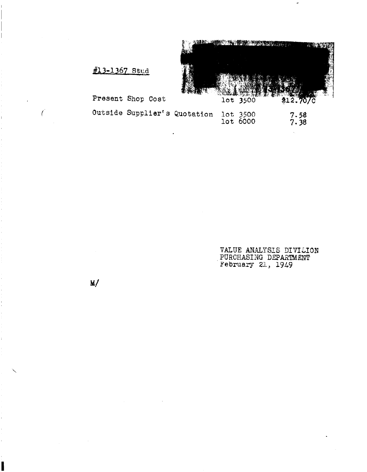<u>NAR INISIA TEKNOLOGI KAN</u> **AVAN** lot 3500 \$12.70/C

#13-1367 Stud

Present Shop Cost

| 7.58<br>7.38 |
|--------------|
|              |

VALUE ANALYSIS DIVISION PURCHASING DEPARTMENT<br>February 21, 1949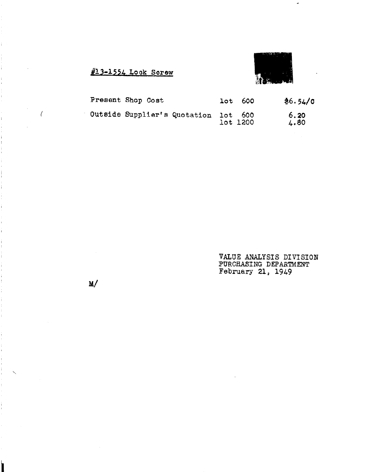$\#$ 13-1554 Lock Screw



| Present Shop Cost                    | $10t$ 600 | \$6.54/0     |
|--------------------------------------|-----------|--------------|
| Outside Supplier's Quotation lot 600 | lot 1200  | 6.20<br>4.80 |

VALUE ANALYSIS DIVISION PURCHASING DEPARTMENT February 21,  $1949$ 

 $\sim 10^{-11}$ 

 $M/$ 

 $\bar{\mathcal{A}}$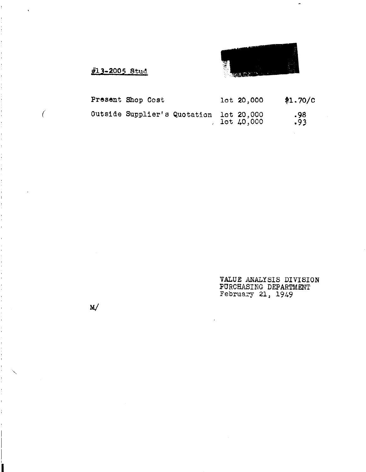

 $\mathcal{A}$ 

## #13-2005 Stud

| Present Shop Cost                       |  | $10t$ 20,000       | \$1.70/C   |
|-----------------------------------------|--|--------------------|------------|
| Outside Supplier's Quotation lot 20,000 |  | $1$ ot $\mu$ 0,000 | .98<br>.93 |

 $\hat{\mathcal{L}}$ 

VALUE ANALYSIS DIVISION PURCHASING DEPARTMENT February 21, 1949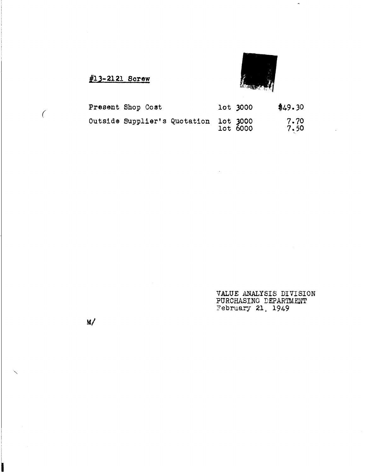

 $\ddot{\phantom{a}}$ 

#13-2121 Screw

| Present Shop Cost                                 |  | lot 3000 | \$49.30      |
|---------------------------------------------------|--|----------|--------------|
| Outside Supplier's Quotation lot 3000<br>lot 6000 |  |          | 7.70<br>7.50 |

 $\sim$   $\sim$ 

VALUE ANALYSIS DIVISION PURCHASING DEPARTMENT February 21, 1949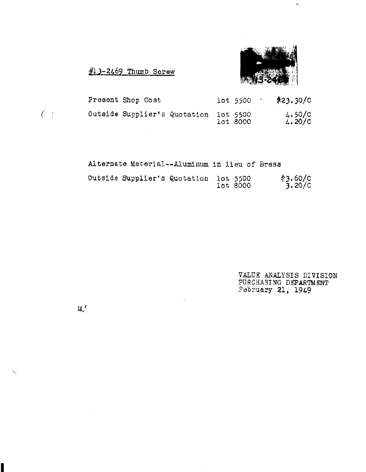#13-2469 Thumb Screw

 $M'$ 



| Present Shop Cost                     |  | lot 5500 | \$23.30/C            |
|---------------------------------------|--|----------|----------------------|
| Outside Supplier's Quotation lot 5500 |  | lot 8000 | $4.50/C$<br>$4.20/C$ |

Alternate Material--Aluminum in lieu of Brass

| Outside Supplier's Quotation lot 5500 |  | lot 8000 | $*3.60/c$<br>3.20/0 |
|---------------------------------------|--|----------|---------------------|
|                                       |  |          |                     |

VALUE ANALYSIS DIVISION PURCHASING DEPARTMENT February 21, 1949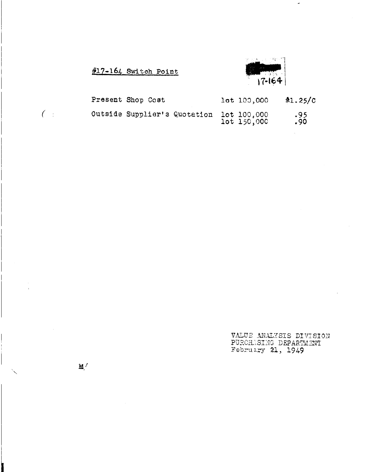$\#17 - 164$  Switch Point



| Present Shop Cost                        |  | lot 100,000 | \$1.25/C\$ |
|------------------------------------------|--|-------------|------------|
| Outside Supplier's Quotation lot 100,000 |  | 1ot 150,000 | .95<br>.90 |

VALUE ANALYSIS DIVISION PURCHASING DEPARTMENT

 $\mathbf{M}$  /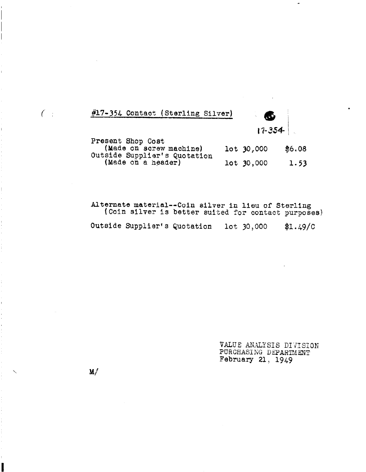#17-354 Contact (Sterling Silver)



| Present Shop Cost            |              |        |
|------------------------------|--------------|--------|
| (Made on screw machine)      | $10t$ 30,000 | \$6.08 |
| Outside Supplier's Quotation |              |        |
| (Made on a header)           | $10t$ 30,000 | 1.53   |

Alternate material--Coin silver in lieu of Sterling<br>(Coin silver is better suited for contact purposes) Outside Supplier's Quotation lot 30,000 \$1.49/C

> VALUE ANALYSIS DIVISION PURCHASING DEPARTMENT<br>February 21, 1949

 $\mathbf{M}$